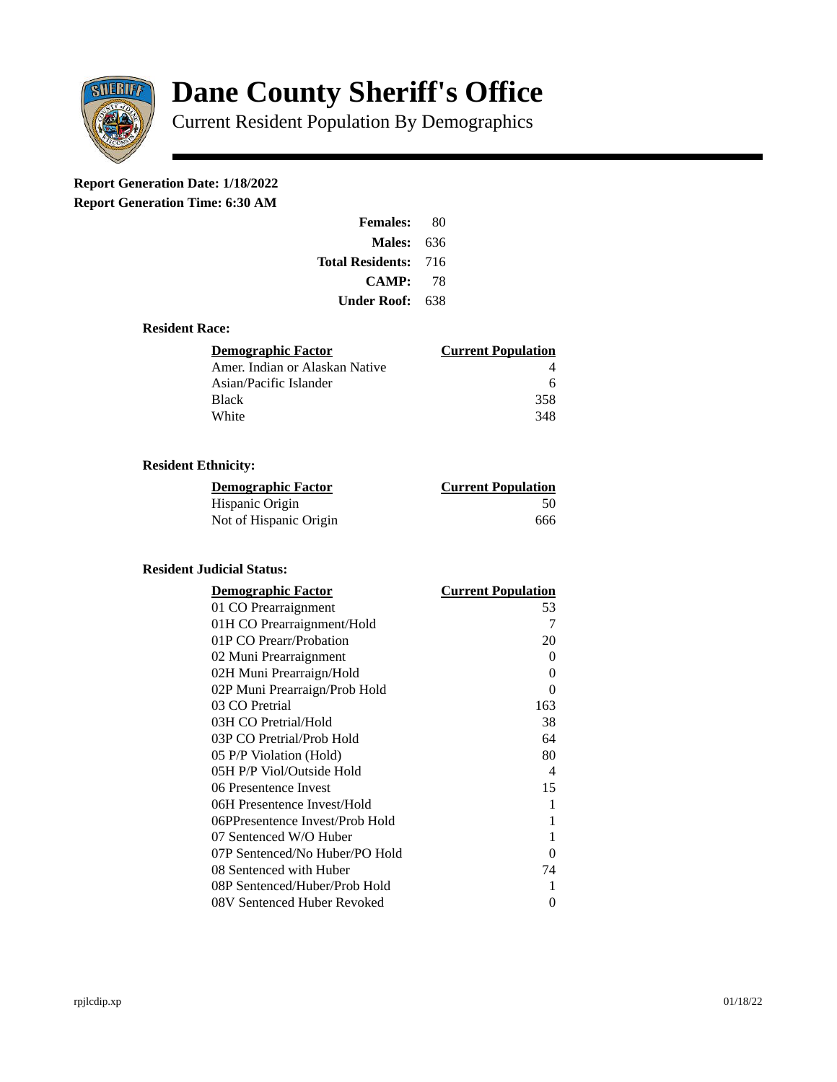

# **Dane County Sheriff's Office**

Current Resident Population By Demographics

# **Report Generation Date: 1/18/2022**

**Report Generation Time: 6:30 AM** 

| <b>Females:</b>         | 80   |
|-------------------------|------|
| Males:                  | 636  |
| <b>Total Residents:</b> | -716 |
| <b>CAMP:</b>            | 78   |
| Under Roof: \           | 638  |

#### **Resident Race:**

| Demographic Factor             | <b>Current Population</b> |
|--------------------------------|---------------------------|
| Amer. Indian or Alaskan Native |                           |
| Asian/Pacific Islander         | 6                         |
| Black                          | 358                       |
| White                          | 348                       |

## **Resident Ethnicity:**

| <u> Demographic Factor</u> | <b>Current Population</b> |
|----------------------------|---------------------------|
| Hispanic Origin            | 50                        |
| Not of Hispanic Origin     | 666                       |

### **Resident Judicial Status:**

| <b>Demographic Factor</b>       | <b>Current Population</b> |
|---------------------------------|---------------------------|
| 01 CO Prearraignment            | 53                        |
| 01H CO Prearraignment/Hold      | 7                         |
| 01P CO Prearr/Probation         | 20                        |
| 02 Muni Prearraignment          | 0                         |
| 02H Muni Prearraign/Hold        | 0                         |
| 02P Muni Prearraign/Prob Hold   | 0                         |
| 03 CO Pretrial                  | 163                       |
| 03H CO Pretrial/Hold            | 38                        |
| 03P CO Pretrial/Prob Hold       | 64                        |
| 05 P/P Violation (Hold)         | 80                        |
| 05H P/P Viol/Outside Hold       | $\overline{\mathcal{A}}$  |
| 06 Presentence Invest           | 15                        |
| 06H Presentence Invest/Hold     | 1                         |
| 06PPresentence Invest/Prob Hold | 1                         |
| 07 Sentenced W/O Huber          | 1                         |
| 07P Sentenced/No Huber/PO Hold  | 0                         |
| 08 Sentenced with Huber         | 74                        |
| 08P Sentenced/Huber/Prob Hold   | 1                         |
| 08V Sentenced Huber Revoked     | 0                         |